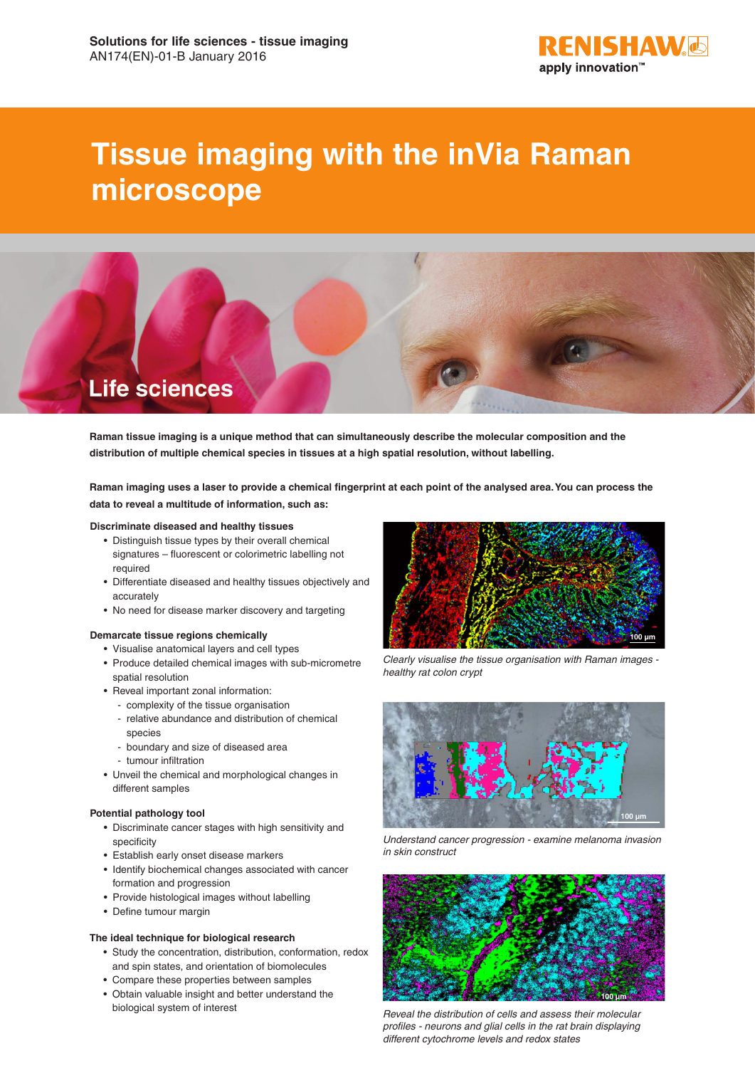

# **Tissue imaging with the inVia Raman microscope**



**Raman tissue imaging is a unique method that can simultaneously describe the molecular composition and the distribution of multiple chemical species in tissues at a high spatial resolution, without labelling.**

**Raman imaging uses a laser to provide a chemical fingerprint at each point of the analysed area. You can process the data to reveal a multitude of information, such as:**

#### **Discriminate diseased and healthy tissues**

- Distinguish tissue types by their overall chemical signatures – fluorescent or colorimetric labelling not required
- Differentiate diseased and healthy tissues objectively and accurately
- No need for disease marker discovery and targeting

#### **Demarcate tissue regions chemically**

- Visualise anatomical layers and cell types
- Produce detailed chemical images with sub-micrometre spatial resolution
- Reveal important zonal information:
	- complexity of the tissue organisation
	- relative abundance and distribution of chemical species
	- boundary and size of diseased area
	- tumour infiltration
- Unveil the chemical and morphological changes in different samples

## **Potential pathology tool**

- Discriminate cancer stages with high sensitivity and specificity
- Establish early onset disease markers
- Identify biochemical changes associated with cancer formation and progression
- Provide histological images without labelling
- Define tumour margin

## **The ideal technique for biological research**

- Study the concentration, distribution, conformation, redox and spin states, and orientation of biomolecules
- Compare these properties between samples
- Obtain valuable insight and better understand the biological system of interest



*Clearly visualise the tissue organisation with Raman images healthy rat colon crypt*



*Understand cancer progression - examine melanoma invasion in skin construct*



*Reveal the distribution of cells and assess their molecular profiles - neurons and glial cells in the rat brain displaying different cytochrome levels and redox states*